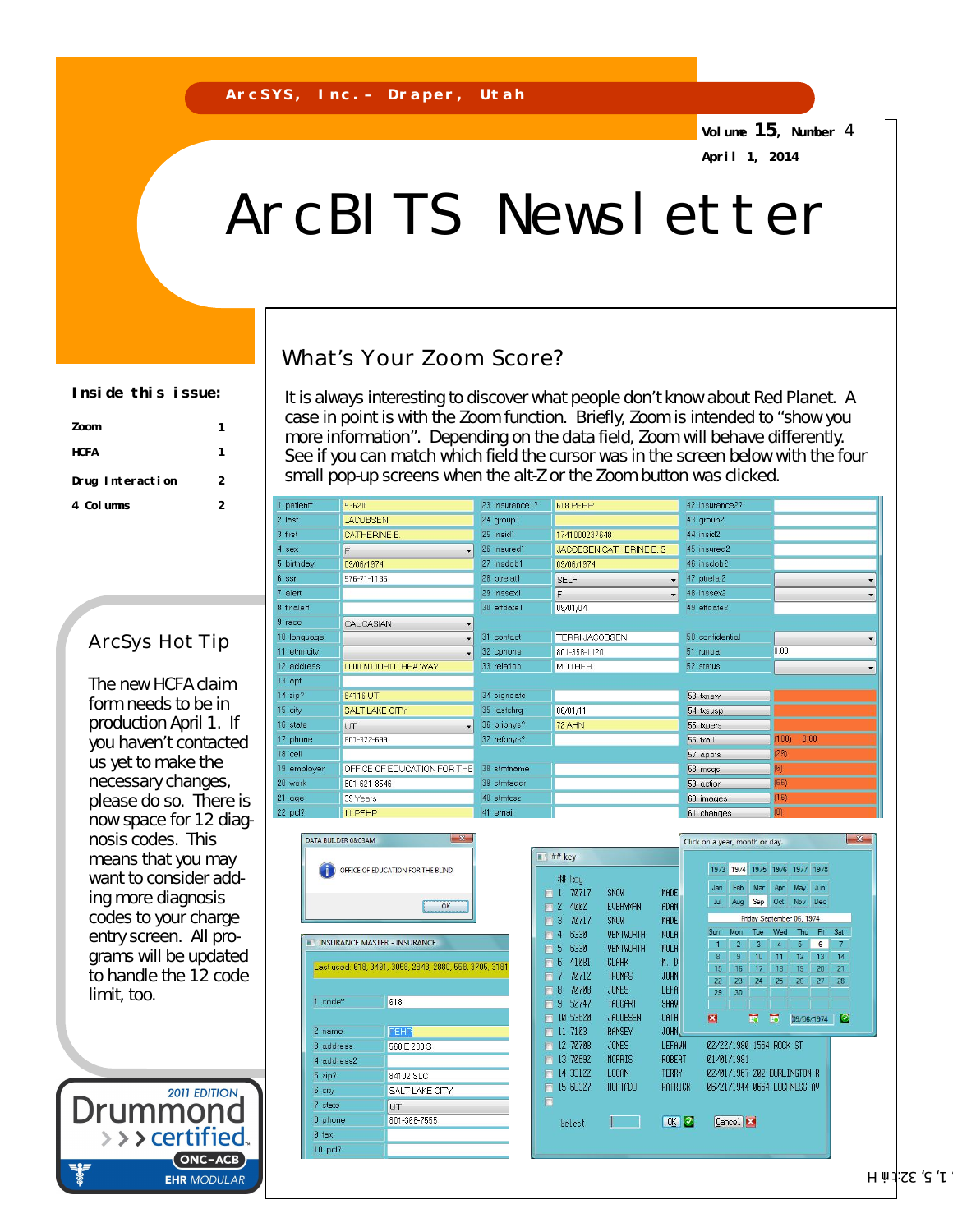**Volume 15, Number** 4 **April 1, 2014**

# ArcBITS Newsletter

## What's Your Zoom Score?

It is always interesting to discover what people don't know about Red Planet. A case in point is with the Zoom function. Briefly, Zoom is intended to "show you more information". Depending on the data field, Zoom will behave differently. See if you can match which field the cursor was in the screen below with the four small pop-up screens when the alt-Z or the Zoom button was clicked.

| patient <sup>*</sup> | 53620                       | 23 insurance1? | 618 PEHP                 | 42 insurance2?  |               |
|----------------------|-----------------------------|----------------|--------------------------|-----------------|---------------|
| last                 | <b>JACOBSEN</b>             | 24 group1      |                          | 43 group2       |               |
| first                | <b>CATHERINE E.</b>         | 25 insid1      | 1741000237648            | 44 insid2       |               |
| sex                  | F                           | 26 insured1    | JACOBSEN CATHERINE E. S. | 45 insured2     |               |
| birthday             | 09/06/1974                  | 27 insdob1     | 09/06/1974               | 46 insdob2      |               |
| ssn                  | 576-71-1135                 | 28 ptrelat1    | <b>SELF</b>              | 47 ptrelat2     |               |
| alert                |                             | 29 inssex1     | F                        | 48 inssex2      |               |
| finalert             |                             | 30 effdate1    | 09/01/04                 | 49 effdate2     |               |
| race                 | CAUCASIAN                   |                |                          |                 |               |
| Ianquage             |                             | 31 contact     | <b>TERRI JACOBSEN</b>    | 50 confidential |               |
| I ethnicity          |                             | 32 cphone      | 801-358-1120             | 51 runbal       | 0.00          |
| address              | 0000 N DOROTHEA WAY         | 33 relation    | <b>MOTHER</b>            | 52 status       |               |
| 3 apt                |                             |                |                          |                 |               |
| 4 zip?               | 84116 UT                    | 34 signdate    |                          | 53 txnew        |               |
| $5$ city             | SALT LAKE CITY              | 35 lastchrq    | 06/01/11                 | 54 txsusp       |               |
| <sub>3</sub> state   | <b>UT</b>                   | 36 priphys?    | 72 AHN                   | 55 txpers       |               |
| 7 phone              | 801-372-699                 | 37 refphys?    |                          | 56 txall        | (188)<br>0.00 |
| 3 cell               |                             |                |                          | 57 appts        | (29)          |
| demployer            | OFFICE OF EDUCATION FOR THE | 38 stmtname    |                          | 58 msqs         | (6)           |
| ) work               | 801-621-8546                | 39 stmtaddr    |                          | 59 action       | (66)          |
| l age                | 39 Years                    | 40 stmtcsz     |                          | 60 images       | (16)          |
| 2 pcl?               | 11 PEHP                     | 41 email       |                          | 61 changes      | (8)           |



|                              |                  | Click on a year, month or day. |                             |                 |            |                               | فتساه      |     |                |
|------------------------------|------------------|--------------------------------|-----------------------------|-----------------|------------|-------------------------------|------------|-----|----------------|
| ## key                       |                  |                                |                             |                 |            |                               |            |     |                |
| 耕 keu                        |                  |                                |                             |                 |            | 1973 1974 1975 1976 1977 1978 |            |     |                |
| 70717<br>1<br>П              | SNOW             | MADEI                          | Jan                         | Feb             | Mar        | Apr                           | May        | Jun |                |
| 4002<br>2<br>$\square$       | <b>EVERYMAN</b>  | <b>ADAM</b>                    | Jul                         | Aug             | Sep        | Oct                           | Nov        | Dec |                |
| 3<br>70717<br>П              | SNOW             | MADEI                          |                             |                 |            | Friday September 06, 1974     |            |     |                |
| 6330<br>4<br>Ē               | <b>WENTWORTH</b> | NOLA                           | Sun                         | Mon             | <b>Tue</b> | Wed                           | Thu        | Fri | Sat            |
| 5<br>6330<br>⊟               | <b>WENTWORTH</b> | NOLA                           | 1                           | $\overline{2}$  | 3          | 4                             | 5          | 6   | $\overline{7}$ |
| 41081<br>6<br>$\blacksquare$ | <b>CLARK</b>     | M. D                           | 8                           | 9               | 10         | 11                            | 12         | 13  | 14             |
| 7<br>70712                   | <b>THOMAS</b>    | <b>JOHN</b>                    | 15                          | 16              | 17         | 18                            | 19         | 20  | 21             |
| 70708<br>8<br>E              | <b>JONES</b>     | LEFA                           | 22                          | 23              | 24         | 25                            | 26         | 27  | 28             |
| 9<br>52747<br>$\Box$         | TAGGART          | <b>SHAW</b>                    | 29                          | 30              |            |                               |            |     |                |
| 10 53620                     | <b>JACOBSEN</b>  | CATH                           |                             |                 |            |                               |            |     |                |
| $\blacksquare$<br>11 7103    | <b>RAMSEY</b>    | <b>JOHN</b>                    | 國                           |                 | 的          | 的                             | 09/06/1974 |     | $\bullet$      |
| п                            |                  |                                |                             |                 |            |                               |            |     |                |
| 12 70708<br>П                | <b>JONES</b>     | LEFAWN                         | 02/22/1980 1564 ROCK ST     |                 |            |                               |            |     |                |
| 13 70692<br>E                | <b>MORRIS</b>    | <b>ROBERT</b>                  | 01/01/1981                  |                 |            |                               |            |     |                |
| 14 33122<br>П                | LOGAN            | <b>TERRY</b>                   | 02/01/1967 202 BURLINGTON R |                 |            |                               |            |     |                |
| 15 68327<br>П                | <b>HURTADO</b>   | PATRICK                        | 06/21/1944 0664 LOCHNESS AV |                 |            |                               |            |     |                |
| $\square$                    |                  |                                |                             |                 |            |                               |            |     |                |
| Select                       |                  | (K <sup>o</sup> )              |                             | Cancel <b>E</b> |            |                               |            |     |                |
|                              |                  |                                |                             |                 |            |                               |            |     |                |
|                              |                  |                                |                             |                 |            |                               |            |     |                |

#### **Inside this issue:**

| Zoom             |   |
|------------------|---|
| <b>HCFA</b>      | 1 |
| Drug Interaction | 2 |
| 4 Columns        | 2 |

### ArcSys Hot Tip

The new HCFA claim form needs to be in production April 1. If you haven't contacted us yet to make the necessary changes, please do so. There is now space for 12 diagnosis codes. This means that you may want to consider adding more diagnosis codes to your charge entry screen. All programs will be updated to handle the 12 code limit, too.

**2011 EDITION** 

ONC-ACB **EHR MODULAR** 

 $\rightarrow$   $\rightarrow$  certified

Drummo

 $J'$  2' 33 $\downarrow$  4, 19